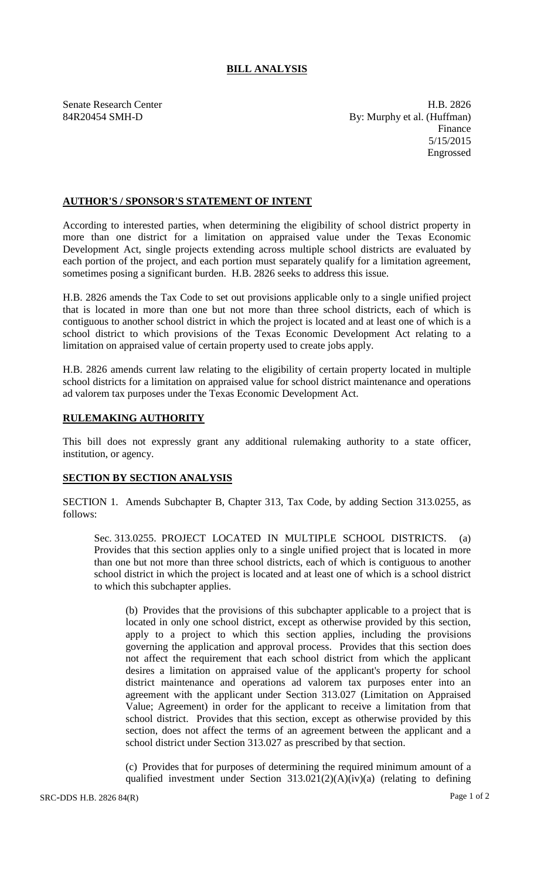## **BILL ANALYSIS**

Senate Research Center **H.B. 2826** 84R20454 SMH-D By: Murphy et al. (Huffman) Finance 5/15/2015 Engrossed

## **AUTHOR'S / SPONSOR'S STATEMENT OF INTENT**

According to interested parties, when determining the eligibility of school district property in more than one district for a limitation on appraised value under the Texas Economic Development Act, single projects extending across multiple school districts are evaluated by each portion of the project, and each portion must separately qualify for a limitation agreement, sometimes posing a significant burden. H.B. 2826 seeks to address this issue.

H.B. 2826 amends the Tax Code to set out provisions applicable only to a single unified project that is located in more than one but not more than three school districts, each of which is contiguous to another school district in which the project is located and at least one of which is a school district to which provisions of the Texas Economic Development Act relating to a limitation on appraised value of certain property used to create jobs apply.

H.B. 2826 amends current law relating to the eligibility of certain property located in multiple school districts for a limitation on appraised value for school district maintenance and operations ad valorem tax purposes under the Texas Economic Development Act.

## **RULEMAKING AUTHORITY**

This bill does not expressly grant any additional rulemaking authority to a state officer, institution, or agency.

## **SECTION BY SECTION ANALYSIS**

SECTION 1. Amends Subchapter B, Chapter 313, Tax Code, by adding Section 313.0255, as follows:

Sec. 313.0255. PROJECT LOCATED IN MULTIPLE SCHOOL DISTRICTS. (a) Provides that this section applies only to a single unified project that is located in more than one but not more than three school districts, each of which is contiguous to another school district in which the project is located and at least one of which is a school district to which this subchapter applies.

(b) Provides that the provisions of this subchapter applicable to a project that is located in only one school district, except as otherwise provided by this section, apply to a project to which this section applies, including the provisions governing the application and approval process. Provides that this section does not affect the requirement that each school district from which the applicant desires a limitation on appraised value of the applicant's property for school district maintenance and operations ad valorem tax purposes enter into an agreement with the applicant under Section 313.027 (Limitation on Appraised Value; Agreement) in order for the applicant to receive a limitation from that school district. Provides that this section, except as otherwise provided by this section, does not affect the terms of an agreement between the applicant and a school district under Section 313.027 as prescribed by that section.

(c) Provides that for purposes of determining the required minimum amount of a qualified investment under Section 313.021(2)(A)(iv)(a) (relating to defining